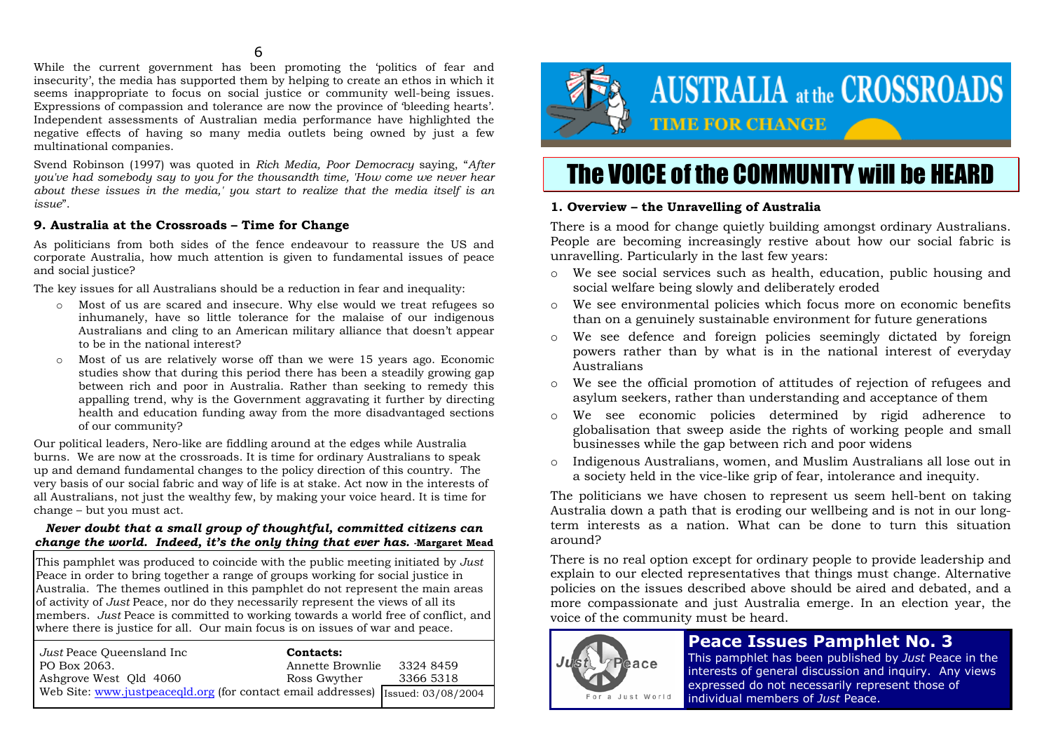#### $\sim$  6

 While the current government has been promoting the 'politics of fear and insecurity', the media has supported them by helping to create an ethos in which it seems inappropriate to focus on social justice or community well-being issues. Expressions of compassion and tolerance are now the province of 'bleeding hearts'. Independent assessments of Australian media performance have highlighted the negative effects of having so many media outlets being owned by just a few multinational companies.

Svend Robinson (1997) was quoted in *Rich Media, Poor Democracy* saying, "*After you've had somebody say to you for the thousandth time, 'How come we never hear about these issues in the media,' you start to realize that the media itself is an issue*".

#### **9. Australia at the Crossroads – Time for Change**

As politicians from both sides of the fence endeavour to reassure the US and corporate Australia, how much attention is given to fundamental issues of peace and social justice?

The key issues for all Australians should be a reduction in fear and inequality:

- o Most of us are scared and insecure. Why else would we treat refugees so inhumanely, have so little tolerance for the malaise of our indigenous Australians and cling to an American military alliance that doesn't appear to be in the national interest?
- o Most of us are relatively worse off than we were 15 years ago. Economic studies show that during this period there has been a steadily growing gap between rich and poor in Australia. Rather than seeking to remedy this appalling trend, why is the Government aggravating it further by directing health and education funding away from the more disadvantaged sections of our community?

Our political leaders, Nero-like are fiddling around at the edges while Australia burns. We are now at the crossroads. It is time for ordinary Australians to speak up and demand fundamental changes to the policy direction of this country. The very basis of our social fabric and way of life is at stake. Act now in the interests of all Australians, not just the wealthy few, by making your voice heard. It is time for change – but you must act.

#### *Never doubt that a small group of thoughtful, committed citizens can change the world. Indeed, it's the only thing that ever has. Margaret Mead*

This pamphlet was produced to coincide with the public meeting initiated by *Just* Peace in order to bring together a range of groups working for social justice in Australia. The themes outlined in this pamphlet do not represent the main areas of activity of *Just* Peace, nor do they necessarily represent the views of all its members. *Just* Peace is committed to working towards a world free of conflict, and where there is justice for all. Our main focus is on issues of war and peace.

| Just Peace Oueensland Inc                                                         | Contacts:        |           |
|-----------------------------------------------------------------------------------|------------------|-----------|
| PO Box 2063.                                                                      | Annette Brownlie | 3324 8459 |
| Ashgrove West Old 4060                                                            | Ross Gwyther     | 3366 5318 |
| Web Site: www.justpeacegld.org (for contact email addresses) [Issued: 03/08/2004] |                  |           |



# The VOICE of the COMMUNITY will be HEARD

# **1. Overview – the Unravelling of Australia**

There is a mood for change quietly building amongst ordinary Australians. People are becoming increasingly restive about how our social fabric is unravelling. Particularly in the last few years:

- o We see social services such as health, education, public housing and social welfare being slowly and deliberately eroded
- o We see environmental policies which focus more on economic benefits than on a genuinely sustainable environment for future generations
- o We see defence and foreign policies seemingly dictated by foreign powers rather than by what is in the national interest of everyday Australians
- o We see the official promotion of attitudes of rejection of refugees and asylum seekers, rather than understanding and acceptance of them
- o We see economic policies determined by rigid adherence to globalisation that sweep aside the rights of working people and small businesses while the gap between rich and poor widens
- o Indigenous Australians, women, and Muslim Australians all lose out in a society held in the vice-like grip of fear, intolerance and inequity.

The politicians we have chosen to represent us seem hell-bent on taking Australia down a path that is eroding our wellbeing and is not in our longterm interests as a nation. What can be done to turn this situation around?

There is no real option except for ordinary people to provide leadership and explain to our elected representatives that things must change. Alternative policies on the issues described above should be aired and debated, and a more compassionate and just Australia emerge. In an election year, the voice of the community must be heard.



# **Peace Issues Pamphlet No. 3**

This pamphlet has been published by *Just* Peace in the interests of general discussion and inquiry. Any views expressed do not necessarily represent those of individual members of *Just* Peace.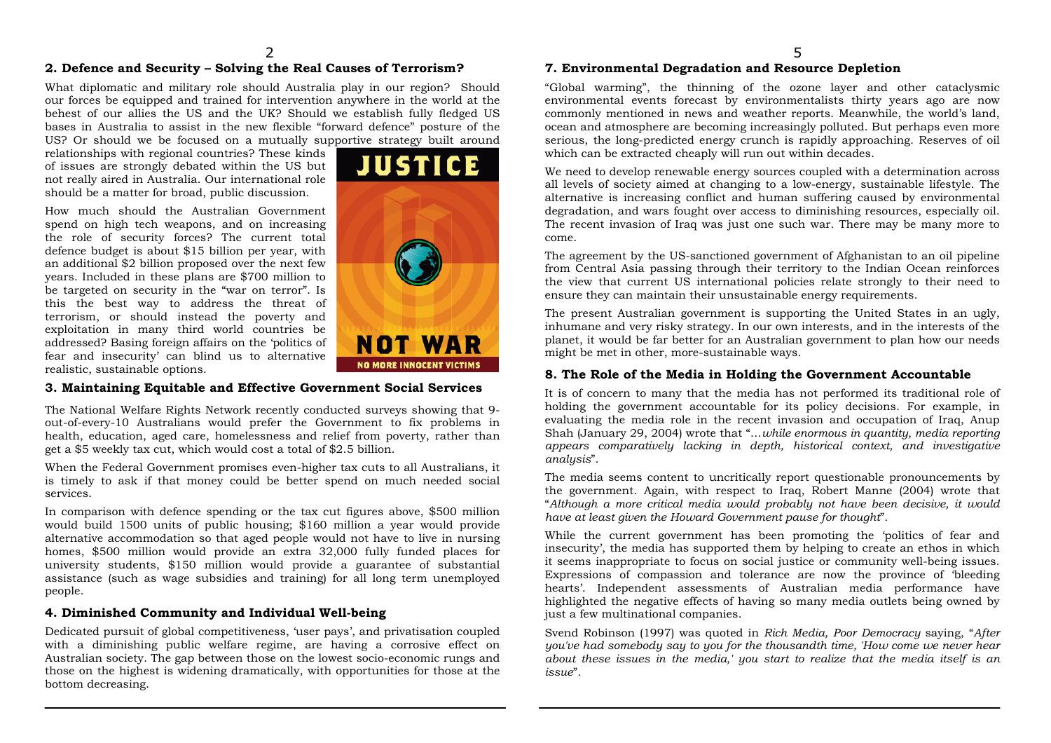# **2. Defence and Security – Solving the Real Causes of Terrorism?**

What diplomatic and military role should Australia play in our region? Should our forces be equipped and trained for intervention anywhere in the world at the behest of our allies the US and the UK? Should we establish fully fledged US bases in Australia to assist in the new flexible "forward defence" posture of the US? Or should we be focused on a mutually supportive strategy built around

relationships with regional countries? These kinds of issues are strongly debated within the US but not really aired in Australia. Our international role should be a matter for broad, public discussion.

How much should the Australian Government spend on high tech weapons, and on increasing the role of security forces? The current total defence budget is about \$15 billion per year, with an additional \$2 billion proposed over the next few years. Included in these plans are \$700 million to be targeted on security in the "war on terror". Is this the best way to address the threat of terrorism, or should instead the poverty and exploitation in many third world countries be addressed? Basing foreign affairs on the 'politics of fear and insecurity' can blind us to alternative realistic, sustainable options.



#### **3. Maintaining Equitable and Effective Government Social Services**

The National Welfare Rights Network recently conducted surveys showing that 9 out-of-every-10 Australians would prefer the Government to fix problems in health, education, aged care, homelessness and relief from poverty, rather than get a \$5 weekly tax cut, which would cost a total of \$2.5 billion.

When the Federal Government promises even-higher tax cuts to all Australians, it is timely to ask if that money could be better spend on much needed social services.

In comparison with defence spending or the tax cut figures above, \$500 million would build 1500 units of public housing; \$160 million a year would provide alternative accommodation so that aged people would not have to live in nursing homes, \$500 million would provide an extra 32,000 fully funded places for university students, \$150 million would provide a guarantee of substantial assistance (such as wage subsidies and training) for all long term unemployed people.

#### **4. Diminished Community and Individual Well-being**

Dedicated pursuit of global competitiveness, 'user pays', and privatisation coupled with a diminishing public welfare regime, are having a corrosive effect on Australian society. The gap between those on the lowest socio-economic rungs and those on the highest is widening dramatically, with opportunities for those at the bottom decreasing.

### **7. Environmental Degradation and Resource Depletion**

"Global warming", the thinning of the ozone layer and other cataclysmic environmental events forecast by environmentalists thirty years ago are now commonly mentioned in news and weather reports. Meanwhile, the world's land, ocean and atmosphere are becoming increasingly polluted. But perhaps even more serious, the long-predicted energy crunch is rapidly approaching. Reserves of oil which can be extracted cheaply will run out within decades.

We need to develop renewable energy sources coupled with a determination across all levels of society aimed at changing to a low-energy, sustainable lifestyle. The alternative is increasing conflict and human suffering caused by environmental degradation, and wars fought over access to diminishing resources, especially oil. The recent invasion of Iraq was just one such war. There may be many more to come.

The agreement by the US-sanctioned government of Afghanistan to an oil pipeline from Central Asia passing through their territory to the Indian Ocean reinforces the view that current US international policies relate strongly to their need to ensure they can maintain their unsustainable energy requirements.

The present Australian government is supporting the United States in an ugly, inhumane and very risky strategy. In our own interests, and in the interests of the planet, it would be far better for an Australian government to plan how our needs might be met in other, more-sustainable ways.

#### **8. The Role of the Media in Holding the Government Accountable**

It is of concern to many that the media has not performed its traditional role of holding the government accountable for its policy decisions. For example, in evaluating the media role in the recent invasion and occupation of Iraq, Anup Shah (January 29, 2004) wrote that "…*while enormous in quantity, media reporting appears comparatively lacking in depth, historical context, and investigative analysis*".

The media seems content to uncritically report questionable pronouncements by the government. Again, with respect to Iraq, Robert Manne (2004) wrote that "*Although a more critical media would probably not have been decisive, it would have at least given the Howard Government pause for thought*".

While the current government has been promoting the 'politics of fear and insecurity', the media has supported them by helping to create an ethos in which it seems inappropriate to focus on social justice or community well-being issues. Expressions of compassion and tolerance are now the province of 'bleeding hearts'. Independent assessments of Australian media performance have highlighted the negative effects of having so many media outlets being owned by just a few multinational companies.

Svend Robinson (1997) was quoted in *Rich Media, Poor Democracy* saying, "*After you've had somebody say to you for the thousandth time, 'How come we never hear about these issues in the media,' you start to realize that the media itself is an issue*".